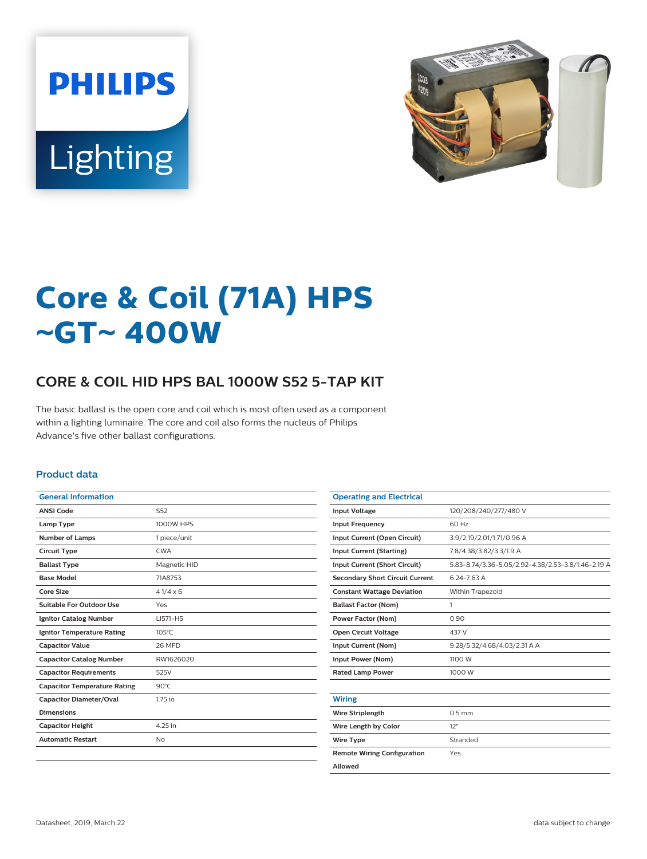



# **Core & Coil (71A) HPS** ~**GT**~ **400W**

## **CORE & COIL HID HPS BAL 1000W S52 5-TAP KIT**

The basic ballast is the open core and coil which is most often used as a component within a lighting luminaire. The core and coil also forms the nucleus of Philips Advance's five other ballast configurations.

#### **Product data**

| <b>General Information</b>          |                  |
|-------------------------------------|------------------|
| <b>ANSI Code</b>                    | S52              |
| Lamp Type                           | <b>1000W HPS</b> |
| <b>Number of Lamps</b>              | 1 piece/unit     |
| <b>Circuit Type</b>                 | <b>CWA</b>       |
| <b>Ballast Type</b>                 | Magnetic HID     |
| <b>Base Model</b>                   | 71A8753          |
| Core Size                           | $41/4 \times 6$  |
| Suitable For Outdoor Use            | Yes              |
| <b>Ignitor Catalog Number</b>       | LI571-H5         |
| <b>Ignitor Temperature Rating</b>   | $105^{\circ}$ C  |
| <b>Capacitor Value</b>              | <b>26 MFD</b>    |
| <b>Capacitor Catalog Number</b>     | RW1626020        |
| <b>Capacitor Requirements</b>       | 525V             |
| <b>Capacitor Temperature Rating</b> | $90^{\circ}$ C   |
| <b>Capacitor Diameter/Oval</b>      | 1.75 in          |
| <b>Dimensions</b>                   |                  |
| <b>Capacitor Height</b>             | 4.25 in          |
| <b>Automatic Restart</b>            | No               |
|                                     |                  |

| <b>Operating and Electrical</b>        |                                                    |
|----------------------------------------|----------------------------------------------------|
| <b>Input Voltage</b>                   | 120/208/240/277/480 V                              |
| <b>Input Frequency</b>                 | 60 Hz                                              |
| Input Current (Open Circuit)           | 3.9/2.19/2.01/1.71/0.96 A                          |
| <b>Input Current (Starting)</b>        | 7.8/4.38/3.82/3.3/1.9 A                            |
| Input Current (Short Circuit)          | 5.83-8.74/3.36-5.05/2.92-4.38/2.53-3.8/1.46-2.19 A |
| <b>Secondary Short Circuit Current</b> | 6.24-7.63 A                                        |
| <b>Constant Wattage Deviation</b>      | Within Trapezoid                                   |
| <b>Ballast Factor (Nom)</b>            | 1                                                  |
| <b>Power Factor (Nom)</b>              | 0.90                                               |
| <b>Open Circuit Voltage</b>            | 437 V                                              |
| Input Current (Nom)                    | 9.28/5.32/4.68/4.03/2.31 A A                       |
| Input Power (Nom)                      | 1100 W                                             |
| <b>Rated Lamp Power</b>                | 1000 W                                             |
|                                        |                                                    |
| <b>Wiring</b>                          |                                                    |
| <b>Wire Striplength</b>                | $0.5$ mm                                           |
| Wire Length by Color                   | 12"                                                |
| <b>Wire Type</b>                       | Stranded                                           |
| <b>Remote Wiring Configuration</b>     | Yes                                                |
| Allowed                                |                                                    |